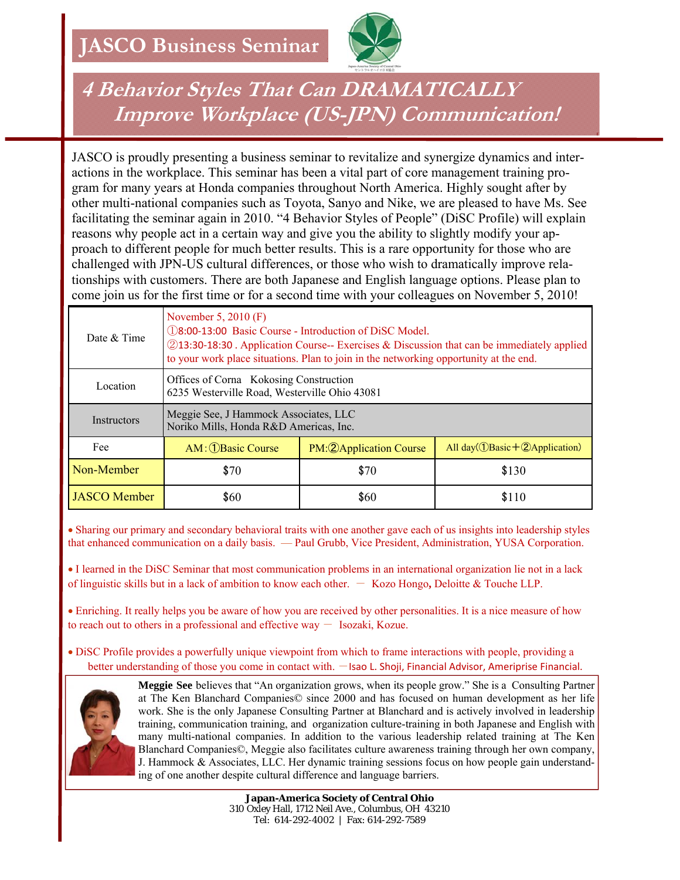

## **4 Behavior Styles That Can DRAMATICALLY Improve Workplace (US-JPN) Communication!**

JASCO is proudly presenting a business seminar to revitalize and synergize dynamics and interactions in the workplace. This seminar has been a vital part of core management training program for many years at Honda companies throughout North America. Highly sought after by other multi-national companies such as Toyota, Sanyo and Nike, we are pleased to have Ms. See facilitating the seminar again in 2010. "4 Behavior Styles of People" (DiSC Profile) will explain reasons why people act in a certain way and give you the ability to slightly modify your approach to different people for much better results. This is a rare opportunity for those who are challenged with JPN-US cultural differences, or those who wish to dramatically improve relationships with customers. There are both Japanese and English language options. Please plan to come join us for the first time or for a second time with your colleagues on November 5, 2010!

| Date & Time         | November 5, 2010 $(F)$<br>18:00-13:00 Basic Course - Introduction of DiSC Model.<br>2013:30-18:30 Application Course-- Exercises & Discussion that can be immediately applied<br>to your work place situations. Plan to join in the networking opportunity at the end. |                          |                                                                     |  |  |  |
|---------------------|------------------------------------------------------------------------------------------------------------------------------------------------------------------------------------------------------------------------------------------------------------------------|--------------------------|---------------------------------------------------------------------|--|--|--|
| Location            | Offices of Corna Kokosing Construction<br>6235 Westerville Road, Westerville Ohio 43081                                                                                                                                                                                |                          |                                                                     |  |  |  |
| Instructors         | Meggie See, J Hammock Associates, LLC<br>Noriko Mills, Honda R&D Americas, Inc.                                                                                                                                                                                        |                          |                                                                     |  |  |  |
| Fee                 | AM: 1Basic Course                                                                                                                                                                                                                                                      | PM: 2 Application Course | All day( $\hat{\mathbb{O}}$ Basic + $\hat{\mathbb{Q}}$ Application) |  |  |  |
| Non-Member          | \$70                                                                                                                                                                                                                                                                   | \$70                     | \$130                                                               |  |  |  |
| <b>JASCO</b> Member | \$60                                                                                                                                                                                                                                                                   | \$60                     | \$110                                                               |  |  |  |

• Sharing our primary and secondary behavioral traits with one another gave each of us insights into leadership styles that enhanced communication on a daily basis. — Paul Grubb, Vice President, Administration, YUSA Corporation.

• I learned in the DiSC Seminar that most communication problems in an international organization lie not in a lack of linguistic skills but in a lack of ambition to know each other. - Kozo Hongo**,** Deloitte & Touche LLP.

• Enriching. It really helps you be aware of how you are received by other personalities. It is a nice measure of how to reach out to others in a professional and effective way  $-$  Isozaki, Kozue.

• DiSC Profile provides a powerfully unique viewpoint from which to frame interactions with people, providing a better understanding of those you come in contact with. - Isao L. Shoji, Financial Advisor, Ameriprise Financial.



**Meggie See** believes that "An organization grows, when its people grow." She is a Consulting Partner at The Ken Blanchard Companies© since 2000 and has focused on human development as her life work. She is the only Japanese Consulting Partner at Blanchard and is actively involved in leadership training, communication training, and organization culture-training in both Japanese and English with many multi-national companies. In addition to the various leadership related training at The Ken Blanchard Companies©, Meggie also facilitates culture awareness training through her own company, J. Hammock  $\&$  Associates, LLC. Her dynamic training sessions focus on how people gain understanding of one another despite cultural difference and language barriers.